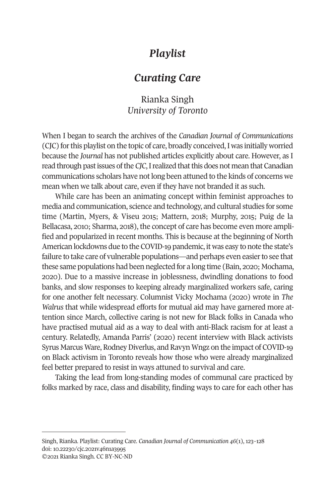# *Playlist*

## *Curating Care*

Rianka Singh *University of Toronto* 

When I began to search the archives of the *Canadian Journal of Communications*  (CJC) for this playlist on the topic of care, broadly conceived, I was initially worried because the *Journal* has not published articles explicitly about care. However, as I read through past issues of the *CJC*, I realized that this does not mean that Canadian communications scholars have not long been attuned to the kinds of concerns we mean when we talk about care, even if they have not branded it as such.

While care has been an animating concept within feminist approaches to media and communication, science and technology, and cultural studies for some time (Martin, Myers, & Viseu 2015; Mattern, 2018; Murphy, 2015; Puig de la Bellacasa, 2010; Sharma, 2018), the concept of care has become even more amplified and popularized in recent months. This is because at the beginning of North American lockdowns due to the COVID-19 pandemic, it was easy to note the state's failure to take care of vulnerable populations—and perhaps even easier to see that these same populations had been neglected for a long time (Bain, 2020; Mochama, 2020). Due to a massive increase in joblessness, dwindling donations to food banks, and slow responses to keeping already marginalized workers safe, caring for one another felt necessary. Columnist Vicky Mochama (2020) wrote in *The Walrus* that while widespread efforts for mutual aid may have garnered more attention since March, collective caring is not new for Black folks in Canada who have practised mutual aid as [a way to deal with anti-Black](http://www.cjc-online.ca) racism for at least a ce[ntury. Relatedly, Amanda](http://doi.org/10.22230/cjc.2021v46n1a3995) Parris' (2020) recent interview with Black activists Syrus Marcus Ware, Rodney Diverlus, and Ravyn Wngz on the impact of COVID-19 on Black activism in Toronto reveals how those who were already marginalized feel better prepared to resist in ways attuned to survival and care.

Taking the lead from long-standing modes of communal care practiced by folks marked by race, class and disability, finding ways to care for each other has

Singh, Rianka. Playlist: Curating Care. *Canadian Journal of Communication 46*(1), 123–128 doi: 10.22230/cjc.2021v46n1a3995 ©2021 Rianka Singh. CC BY-NC-ND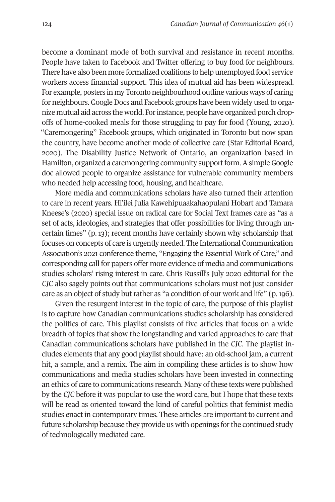124 *Canadian Journal of Communication 46*(1)

become a dominant mode of both survival and resistance in recent months. People have taken to Facebook and Twitter offering to buy food for neighbours. There have also been more formalized coalitions to help unemployed food service workers access financial support. This idea of mutual aid has been widespread. For example, posters in my Toronto neighbourhood outline various ways of caring for neighbours. Google Docs and Facebook groups have been widely used to organize mutual aid across the world. For instance, people have organized porch dropoffs of home-cooked meals for those struggling to pay for food (Young, 2020). "Caremongering" Facebook groups, which originated in Toronto but now span the country, have become another mode of collective care (Star Editorial Board, 2020). The Disability Justice Network of Ontario, an organization based in Hamilton, organized a caremongering community support form. A simple Google doc allowed people to organize assistance for vulnerable community members who needed help accessing food, housing, and healthcare.

More media and communications scholars have also turned their attention to care in recent years. Hi'ilei Julia Kawehipuaakahaopulani Hobart and Tamara Kneese's (2020) special issue on radical care for Social Text frames care as "as a set of acts, ideologies, and strategies that offer possibilities for living through uncertain times" (p. 13); recent months have certainly shown why scholarship that focuses on concepts of care is urgently needed. The International Communication Association's 2021 conference theme, "Engaging the Essential Work of Care," and corresponding call for papers offer more evidence of media and communications studies scholars' rising interest in care. Chris Russill's July 2020 editorial for the *CJC* also sagely points out that communications scholars must not just consider care as an object of study but rather as "a condition of our work and life" (p. 196).

Given the resurgent interest in the topic of care, the purpose of this playlist is to capture how Canadian communications studies scholarship has considered the politics of care. This playlist consists of five articles that focus on a wide breadth of topics that show the longstanding and varied approaches to care that Canadian communications scholars have published in the *CJC*. The playlist includes elements that any good playlist should have: an old-school jam, a current hit, a sample, and a remix. The aim in compiling these articles is to show how communications and media studies scholars have been invested in connecting an ethics of care to communications research. Many of these texts were published by the *CJC* before it was popular to use the word care, but I hope that these texts will be read as oriented toward the kind of careful politics that feminist media studies enact in contemporary times. These articles are important to current and future scholarship because they provide us with openings for the continued study of technologically mediated care.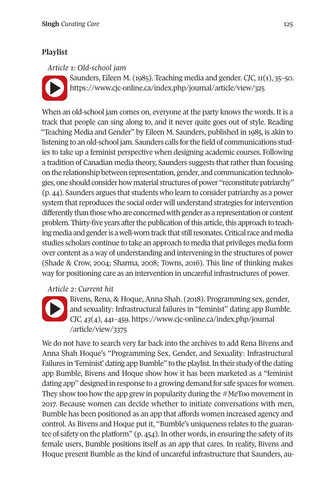### **Singh** *Curating Care* 125

#### **Playlist Playlist**

#### *Article 1: Old-school jam*

Saunders, Eileen M. (1985). Teaching media and gender. *CJC, 11*(1), 35–50. https://www.cjc-online.ca/index.php/journal/article/view/325

When an old-school jam comes on, everyone at the party knows the words. It is a track that people can sing along to, and it never quite goes out of style. Reading "Teaching Media and Gender" by Eileen M. Saunders, published in 1985, is akin to listening to an old-school jam. Saunders calls for the field of communications studies to take up a feminist perspective when designing academic courses. Following a tradition of Canadian media theory, Saunders suggests that rather than focusing on the relationship between representation, gender, and communication technologies, one should consider how material structures of power "reconstitute patriarchy" [\(p. 44\). S](https://www.cjc-online.ca/index.php/journal/article/view/3375)aunders argues that students who learn to consider patriarchy as a power system that reproduces the s[ocial order will understand strategies for interve](file:///)ntion different[ly than those who ar](file:///)e concerned with gender as a representation or content problem. Thirty-five years after the publication of this article, this approach to teaching media and gender is a well-worn track that still resonates. Critical race and media studies scholars continue to take an approach to media that privileges media form over content as a way of understanding and intervening in the structures of power (Shade & Crow, 2004; Sharma, 2008; Towns, 2016). This line of thinking makes way for positioning care as an intervention in uncareful infrastructures of power.

### *Article 2: Current hit*



Bivens, Rena, & Hoque, Anna Shah. (2018). Programming sex, gender, and sexuality: Infrastructural failures in "feminist" dating app Bumble. *CJC, 43*(4), 441–459. https://www.cjc-online.ca/index.php/journal /article/view/3375

We do not have to search very far back into the archives to add Rena Bivens and Anna Shah Hoque's "Programming Sex, Gender, and Sexuality: Infrastructural Failures in 'Feminist' dating app Bumble" to the playlist. In their study of the dating app Bumble, Bivens and Hoque show how it has been marketed as a "feminist dating app" designed in response to a growing demand for safe spaces for women. They show too how the app grew in popularity during the #MeToo movement in 2017. Because women can decide whether to initiate conversations with men, Bumble has been positioned as an app that affords women increased agency and control. As Bivens and Hoque put it, "Bumble's uniqueness relates to the guarantee of safety on the platform" (p. 454). In other words, in ensuring the safety of its female users, Bumble positions itself as an app that cares. In reality, Bivens and Hoque present Bumble as the kind of uncareful infrastructure that Saunders, au-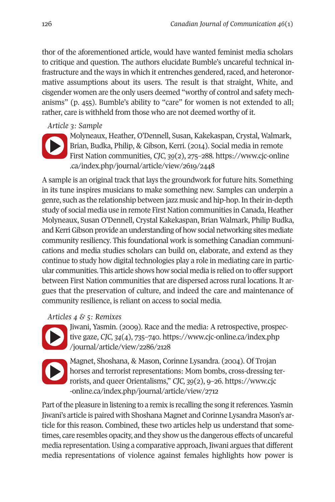[126](https://www.cjc-online.ca/index.php/journal/article/view/2619/2448) *Canadian Journal of Communication 46*(1)

thor of t[he aforementioned article, would have wanted](https://www.cjc-online.ca/index.php/journal/article/view/2619/2448) feminist media scholars to critique and question. The authors elucidate Bumble's uncareful technical infrastructure and the ways in which it entrenches gendered, raced, and heteronormative assumptions about its users. The result is that straight, White, and cisgender women are the only users deemed "worthy of control and safety mechanisms" (p. 455). Bumble's ability to "care" for women is not extended to all; rather, care is withheld from those who are not deemed worthy of it.

### *Article 3: Sample*



Molyneaux, Heather, O'Dennell, Susan, Kakekaspan, Crystal, Walmark, Brian, Budka, Philip, & Gibson, Kerri. (2014). Social media in remote First Nation communities, *CJC, 39*(2), 275–288. https://www.cjc-online .ca/index.php/journal/article/view/2619/2448

A sample is an original track that lays the groundwork for future hits. Something in its tune inspires musicians to make something new. Samples can underpin a genre, such as the relationship between jazz music and hip-hop. In their in-depth study of social media use in remote First Nation communities in Canada, Heather [Molynea](https://www.cjc-online.ca/index.php/journal/article/view/2286/2128)ux, Susan O'Dennell, Crystal [Kakekaspan, Brian Walmark, Philip Bu](file:///)dka, and Kerr[i Gibson provide an understanding](file:///) of how social networking sites mediate community resiliency. This foundational work is something Canadian communi[cations a](https://www.cjc-online.ca/index.php/journal/article/view/2712)nd media studies scholars can build on, elaborate, and extend as they continue to study how digital technologies play a role in mediating care in particular communities. This article shows how social media is re[lied on to offer sup](file:///)port between [First Nation communities that are dispersed acro](file:///)ss rural locations. It argues that the preservation of culture, and indeed the care and maintenance of community resilience, is reliant on access to social media.

## *Articles 4 & 5: Remixes*



Jiwani, Yasmin. (2009). Race and the media: A retrospective, prospective gaze, *CJC, 34*(4), 735–740. https://www.cjc-online.ca/index.php /journal/article/view/2286/2128



Magnet, Shoshana, & Mason, Corinne Lysandra. (2004). Of Trojan horses and terrorist representations: Mom bombs, cross-dressing terrorists, and queer Orientalisms," *CJC, 39*(2), 9–26. https://www.cjc -online.ca/index.php/journal/article/view/2712

Part of the pleasure in listening to a remix is recalling the song it references. Yasmin Jiwani's article is paired with Shoshana Magnet and Corinne Lysandra Mason's article for this reason. Combined, these two articles help us understand that sometimes, care resembles opacity, and they show us the dangerous effects of uncareful media representation. Using a comparative approach, Jiwani argues that different media representations of violence against females highlights how power is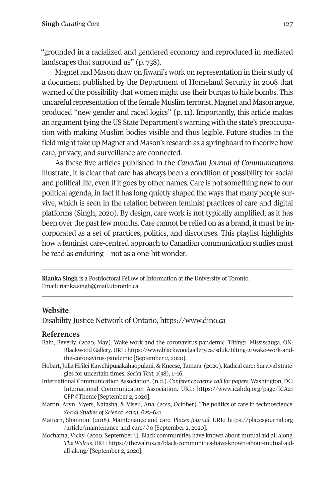### **Singh** *Curating Care* 127

"grounded in a racialized and gendered economy and reproduced in mediated landscapes that surround us" (p. 738).

Magnet and Mason draw on Jiwani's work on representation in their study of a document published by the Department of Homeland Security in 2008 that warned of the possibility that women might use their burqas to hide bombs. This uncareful representation of the female Muslim terrorist, Magnet and Mason argue, produced "new gender and raced logics" (p. 11). Importantly, this article makes an argument tying the US State Department's warning with the state's preoccupation with making Muslim bodies visible and thus legible. Future studies in the field might take up Magnet and Mason's research as a springboard to theorize how care, privacy, and surveillance are connected.

As these five articles published in the *Canadian Journal of Communications*  illust[rate, it is clear that care ha](mailto:rianka.singh@mail.utoronto.ca)s always been a condition of possibility for social and political life, even if it goes by other names. Care is not something new to our political agenda, in fact it has long quietly shaped the ways that many people survive, which is seen in the relation between feminist practices of care and digital platforms (Singh, 2020). By design, c[are work is not typical](https://www.djno.ca)ly amplified, as it has been over the past few months. Care cannot be relied on as a brand, it must be incorporated as a set of practices, politics, and discourses. This playlist highlights how a [feminist care-centred approach to Canadian communication studies must](https://www.blackwoodgallery.ca/sduk/tilting-2/wake-work-and-the-coronavirus-pandemic)  be read as enduring—not as a one-hit wonder.

**Rianka Singh** is a Postdoctoral Fellow of Information at the [University of Toronto.](https://www.icahdq.org/page/ICA21CFP#Theme)  Email: ri[anka.singh@m](https://www.icahdq.org/page/ICA21CFP#Theme)ail.utoronto.ca

**Website**  Disabil[ity Justice Network of Ontario](https://placesjournal.org/article/maintenance-and-care/#0), https://www.djno.ca

- **Refer[ences](https://thewalrus.ca/black-communities-have-known-about-mutual-aid-all-along/)**  Bain, Beverly. (2020, May). Wake work and the coronavirus pandemic. *Tilting2.* Mississauga, ON: Blackwood Gallery. URL: https://www.blackwoodgallery.ca/sduk/tilting-2/wake-work-andthe-coronavirus-pandemic [September 2, 2020].
- Hobart, Julia Hi'ilei Kawehipuaakahaopulani, & Kneese, Tamara. (2020). Radical care: Survival strategies for uncertain times. *Social Text, 1*(38), 1–16.
- International Communication Association. (n.d.). *Conference theme call for papers.* Washington, DC: International Communication Association. URL: https://www.icahdq.org/page/ICA21 CFP#Theme [September 2, 2020].
- Martin, Aryn, Myers, Natasha, & Viseu, Ana. (2015, October). The politics of care in technoscience. *Social Studies of Science, 45*(5), 625–641.
- Mattern, Shannon. (2018). Maintenance and care. *Places Journal.* URL: https://placesjournal.org /article/maintenance-and-care/#0 [September 2, 2020].
- Mochama, Vicky. (2020, September 1). Black communities have known about mutual aid all along. *The Walrus.* URL: https://thewalrus.ca/black-communities-have-known-about-mutual-aidall-along/ [September 2, 2020].